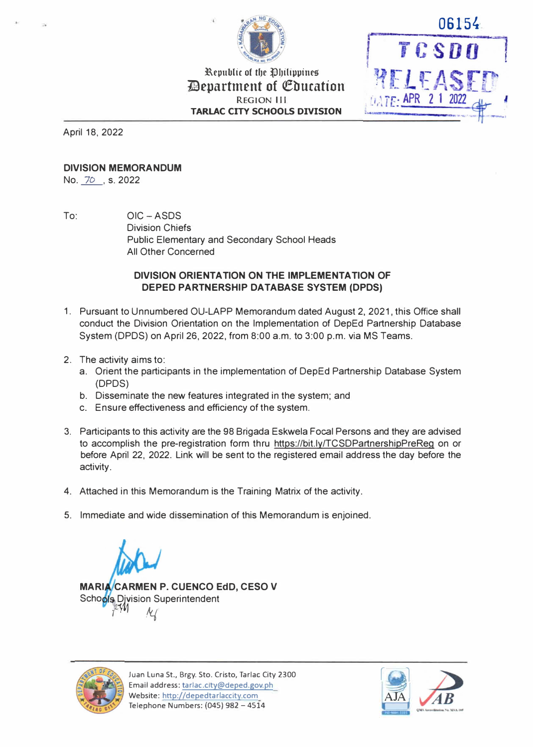

Republic of the Ohilippines **Devartment of Cducation REGION Ill TARLAC CITY SCHOOLS DIVISION** 

April 18, 2022

## **DIVISION MEMORANDUM**

No. 70, s. 2022

To: OIC-ASDS Division Chiefs Public Elementary and Secondary School Heads All Other Concerned

## **DIVISION ORIENTATION ON THE IMPLEMENTATION OF DEPED PARTNERSHIP DATABASE SYSTEM (DPDS)**

- 1. Pursuant to Unnumbered OU-LAPP Memorandum dated August 2, 2021, this Office shall conduct the Division Orientation on the Implementation of DepEd Partnership Database System (DPDS) on April 26, 2022, from 8:00 a.m. to 3:00 p.m. via MS Teams.
- 2. The activity aims to:
	- a. Orient the participants in the implementation of DepEd Partnership Database System (DPDS)
	- b. Disseminate the new features integrated in the system; and
	- c. Ensure effectiveness and efficiency of the system.
- 3. Participants to this activity are the 98 Brigada Eskwela Focal Persons and they are advised to accomplish the pre-registration form thru https://bit.ly/TCSDPartnershipPreReg on or before April 22, 2022. Link will be sent to the registered email address the day before the activity.
- 4. Attached in this Memorandum is the Training Matrix of the activity.
- 5. Immediate and wide dissemination of this Memorandum is enjoined.

**MARI CARMEN P.** CUENCO EdD, CESO V Scho**ols** Division Superintendent *) k(* 



Juan Luna St., Brgy. Sto. Cristo, Tarlac City 2300 Email address: tarlac.city@deped.gov.ph Website: http.//depedtarlaccity.com Telephone Numbers: {045) 982 - 4514



06154

TCSDO

WELFAS

**DATE: APR 21 202**